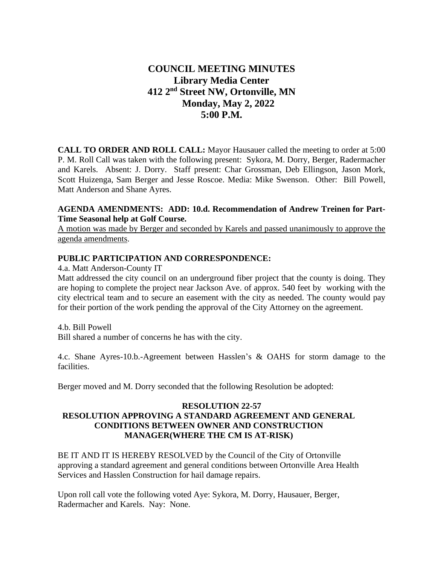# **COUNCIL MEETING MINUTES Library Media Center 412 2nd Street NW, Ortonville, MN Monday, May 2, 2022 5:00 P.M.**

**CALL TO ORDER AND ROLL CALL:** Mayor Hausauer called the meeting to order at 5:00 P. M. Roll Call was taken with the following present: Sykora, M. Dorry, Berger, Radermacher and Karels. Absent: J. Dorry. Staff present: Char Grossman, Deb Ellingson, Jason Mork, Scott Huizenga, Sam Berger and Jesse Roscoe. Media: Mike Swenson. Other: Bill Powell, Matt Anderson and Shane Ayres.

# **AGENDA AMENDMENTS: ADD: 10.d. Recommendation of Andrew Treinen for Part-Time Seasonal help at Golf Course.**

A motion was made by Berger and seconded by Karels and passed unanimously to approve the agenda amendments.

# **PUBLIC PARTICIPATION AND CORRESPONDENCE:**

4.a. Matt Anderson-County IT

Matt addressed the city council on an underground fiber project that the county is doing. They are hoping to complete the project near Jackson Ave. of approx. 540 feet by working with the city electrical team and to secure an easement with the city as needed. The county would pay for their portion of the work pending the approval of the City Attorney on the agreement.

4.b. Bill Powell

Bill shared a number of concerns he has with the city.

4.c. Shane Ayres-10.b.-Agreement between Hasslen's & OAHS for storm damage to the facilities.

Berger moved and M. Dorry seconded that the following Resolution be adopted:

# **RESOLUTION 22-57 RESOLUTION APPROVING A STANDARD AGREEMENT AND GENERAL CONDITIONS BETWEEN OWNER AND CONSTRUCTION MANAGER(WHERE THE CM IS AT-RISK)**

BE IT AND IT IS HEREBY RESOLVED by the Council of the City of Ortonville approving a standard agreement and general conditions between Ortonville Area Health Services and Hasslen Construction for hail damage repairs.

Upon roll call vote the following voted Aye: Sykora, M. Dorry, Hausauer, Berger, Radermacher and Karels. Nay: None.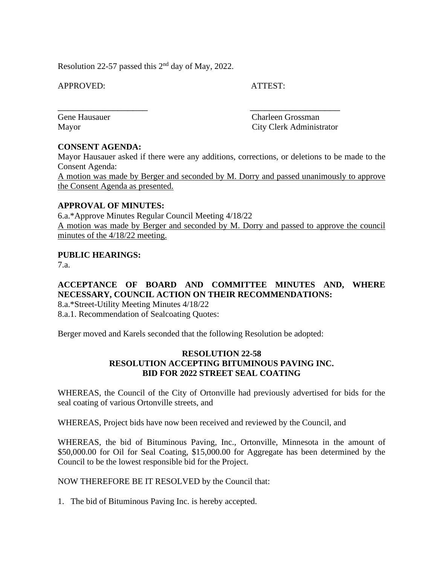Resolution 22-57 passed this  $2<sup>nd</sup>$  day of May, 2022.

APPROVED: ATTEST:

\_\_\_\_\_\_\_\_\_\_\_\_\_\_\_\_\_\_ \_\_\_\_\_\_\_\_\_\_\_\_\_\_\_\_\_\_

Gene Hausauer Charleen Grossman Mayor City Clerk Administrator

# **CONSENT AGENDA:**

Mayor Hausauer asked if there were any additions, corrections, or deletions to be made to the Consent Agenda:

A motion was made by Berger and seconded by M. Dorry and passed unanimously to approve the Consent Agenda as presented.

# **APPROVAL OF MINUTES:**

6.a.\*Approve Minutes Regular Council Meeting 4/18/22 A motion was made by Berger and seconded by M. Dorry and passed to approve the council minutes of the 4/18/22 meeting.

# **PUBLIC HEARINGS:**

7.a.

# **ACCEPTANCE OF BOARD AND COMMITTEE MINUTES AND, WHERE NECESSARY, COUNCIL ACTION ON THEIR RECOMMENDATIONS:**

8.a.\*Street-Utility Meeting Minutes 4/18/22

8.a.1. Recommendation of Sealcoating Quotes:

Berger moved and Karels seconded that the following Resolution be adopted:

# **RESOLUTION 22-58 RESOLUTION ACCEPTING BITUMINOUS PAVING INC. BID FOR 2022 STREET SEAL COATING**

WHEREAS, the Council of the City of Ortonville had previously advertised for bids for the seal coating of various Ortonville streets, and

WHEREAS, Project bids have now been received and reviewed by the Council, and

WHEREAS, the bid of Bituminous Paving, Inc., Ortonville, Minnesota in the amount of \$50,000.00 for Oil for Seal Coating, \$15,000.00 for Aggregate has been determined by the Council to be the lowest responsible bid for the Project.

NOW THEREFORE BE IT RESOLVED by the Council that:

1. The bid of Bituminous Paving Inc. is hereby accepted.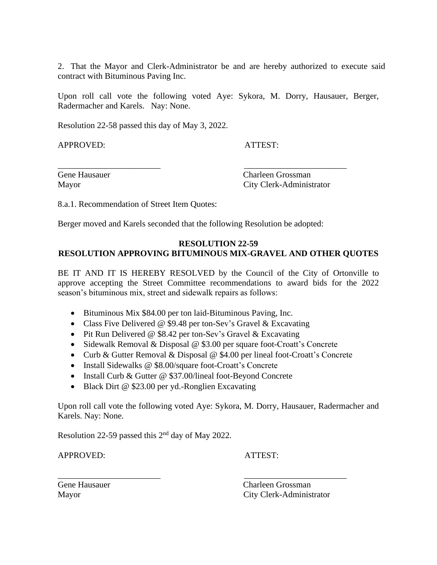2. That the Mayor and Clerk-Administrator be and are hereby authorized to execute said contract with Bituminous Paving Inc.

Upon roll call vote the following voted Aye: Sykora, M. Dorry, Hausauer, Berger, Radermacher and Karels. Nay: None.

Resolution 22-58 passed this day of May 3, 2022.

APPROVED: ATTEST:

Gene Hausauer Charleen Grossman Mayor City Clerk-Administrator

8.a.1. Recommendation of Street Item Quotes:

Berger moved and Karels seconded that the following Resolution be adopted:

\_\_\_\_\_\_\_\_\_\_\_\_\_\_\_\_\_\_\_\_\_\_\_\_ \_\_\_\_\_\_\_\_\_\_\_\_\_\_\_\_\_\_\_\_\_\_\_\_

# **RESOLUTION 22-59 RESOLUTION APPROVING BITUMINOUS MIX-GRAVEL AND OTHER QUOTES**

BE IT AND IT IS HEREBY RESOLVED by the Council of the City of Ortonville to approve accepting the Street Committee recommendations to award bids for the 2022 season's bituminous mix, street and sidewalk repairs as follows:

- Bituminous Mix \$84.00 per ton laid-Bituminous Paving, Inc.
- Class Five Delivered @ \$9.48 per ton-Sev's Gravel & Excavating
- Pit Run Delivered @ \$8.42 per ton-Sev's Gravel & Excavating
- Sidewalk Removal & Disposal @ \$3.00 per square foot-Croatt's Concrete

\_\_\_\_\_\_\_\_\_\_\_\_\_\_\_\_\_\_\_\_\_\_\_\_ \_\_\_\_\_\_\_\_\_\_\_\_\_\_\_\_\_\_\_\_\_\_\_\_

- Curb & Gutter Removal & Disposal @ \$4.00 per lineal foot-Croatt's Concrete
- Install Sidewalks @ \$8.00/square foot-Croatt's Concrete
- Install Curb & Gutter @ \$37.00/lineal foot-Beyond Concrete
- Black Dirt @ \$23.00 per yd.-Ronglien Excavating

Upon roll call vote the following voted Aye: Sykora, M. Dorry, Hausauer, Radermacher and Karels. Nay: None.

Resolution 22-59 passed this  $2<sup>nd</sup>$  day of May 2022.

APPROVED: ATTEST:

Gene Hausauer Charleen Grossman Mayor City Clerk-Administrator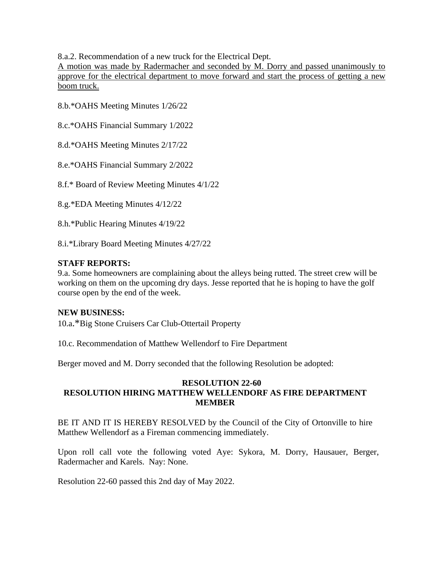8.a.2. Recommendation of a new truck for the Electrical Dept.

A motion was made by Radermacher and seconded by M. Dorry and passed unanimously to approve for the electrical department to move forward and start the process of getting a new boom truck.

8.b.\*OAHS Meeting Minutes 1/26/22

8.c.\*OAHS Financial Summary 1/2022

8.d.\*OAHS Meeting Minutes 2/17/22

8.e.\*OAHS Financial Summary 2/2022

8.f.\* Board of Review Meeting Minutes 4/1/22

8.g.\*EDA Meeting Minutes 4/12/22

8.h.\*Public Hearing Minutes 4/19/22

8.i.\*Library Board Meeting Minutes 4/27/22

# **STAFF REPORTS:**

9.a. Some homeowners are complaining about the alleys being rutted. The street crew will be working on them on the upcoming dry days. Jesse reported that he is hoping to have the golf course open by the end of the week.

# **NEW BUSINESS:**

10.a.\*Big Stone Cruisers Car Club-Ottertail Property

10.c. Recommendation of Matthew Wellendorf to Fire Department

Berger moved and M. Dorry seconded that the following Resolution be adopted:

# **RESOLUTION 22-60 RESOLUTION HIRING MATTHEW WELLENDORF AS FIRE DEPARTMENT MEMBER**

BE IT AND IT IS HEREBY RESOLVED by the Council of the City of Ortonville to hire Matthew Wellendorf as a Fireman commencing immediately.

Upon roll call vote the following voted Aye: Sykora, M. Dorry, Hausauer, Berger, Radermacher and Karels. Nay: None.

Resolution 22-60 passed this 2nd day of May 2022.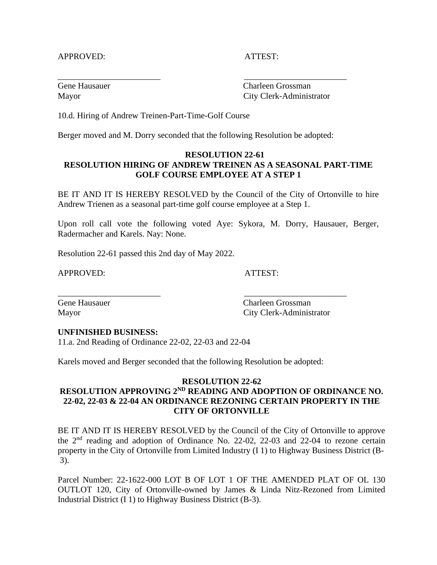#### APPROVED: ATTEST:

Gene Hausauer Charleen Grossman Mayor City Clerk-Administrator

10.d. Hiring of Andrew Treinen-Part-Time-Golf Course

Berger moved and M. Dorry seconded that the following Resolution be adopted:

\_\_\_\_\_\_\_\_\_\_\_\_\_\_\_\_\_\_\_\_\_\_\_\_ \_\_\_\_\_\_\_\_\_\_\_\_\_\_\_\_\_\_\_\_\_\_\_\_

# **RESOLUTION 22-61 RESOLUTION HIRING OF ANDREW TREINEN AS A SEASONAL PART-TIME GOLF COURSE EMPLOYEE AT A STEP 1**

BE IT AND IT IS HEREBY RESOLVED by the Council of the City of Ortonville to hire Andrew Trienen as a seasonal part-time golf course employee at a Step 1.

Upon roll call vote the following voted Aye: Sykora, M. Dorry, Hausauer, Berger, Radermacher and Karels. Nay: None.

Resolution 22-61 passed this 2nd day of May 2022.

APPROVED: ATTEST:

Gene Hausauer Charleen Grossman Mayor City Clerk-Administrator

#### **UNFINISHED BUSINESS:**

11.a. 2nd Reading of Ordinance 22-02, 22-03 and 22-04

Karels moved and Berger seconded that the following Resolution be adopted:

\_\_\_\_\_\_\_\_\_\_\_\_\_\_\_\_\_\_\_\_\_\_\_\_ \_\_\_\_\_\_\_\_\_\_\_\_\_\_\_\_\_\_\_\_\_\_\_\_

# **RESOLUTION 22-62**

# **RESOLUTION APPROVING 2<sup>ND</sup> READING AND ADOPTION OF ORDINANCE NO. 22-02, 22-03 & 22-04 AN ORDINANCE REZONING CERTAIN PROPERTY IN THE CITY OF ORTONVILLE**

BE IT AND IT IS HEREBY RESOLVED by the Council of the City of Ortonville to approve the 2nd reading and adoption of Ordinance No. 22-02, 22-03 and 22-04 to rezone certain property in the City of Ortonville from Limited Industry (I 1) to Highway Business District (B-3).

Parcel Number: 22-1622-000 LOT B OF LOT 1 OF THE AMENDED PLAT OF OL 130 OUTLOT 120, City of Ortonville-owned by James & Linda Nitz-Rezoned from Limited Industrial District (I 1) to Highway Business District (B-3).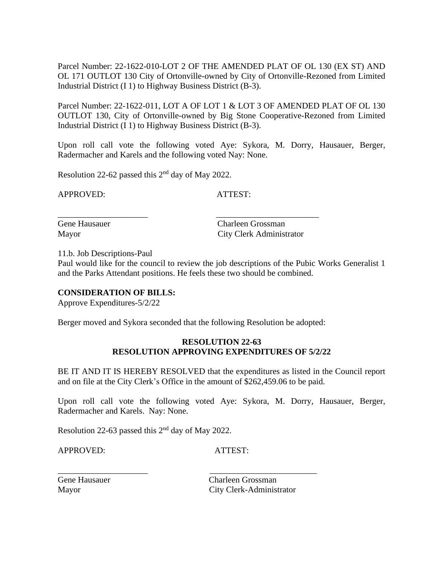Parcel Number: 22-1622-010-LOT 2 OF THE AMENDED PLAT OF OL 130 (EX ST) AND OL 171 OUTLOT 130 City of Ortonville-owned by City of Ortonville-Rezoned from Limited Industrial District (I 1) to Highway Business District (B-3).

Parcel Number: 22-1622-011, LOT A OF LOT 1 & LOT 3 OF AMENDED PLAT OF OL 130 OUTLOT 130, City of Ortonville-owned by Big Stone Cooperative-Rezoned from Limited Industrial District (I 1) to Highway Business District (B-3).

Upon roll call vote the following voted Aye: Sykora, M. Dorry, Hausauer, Berger, Radermacher and Karels and the following voted Nay: None.

Resolution 22-62 passed this  $2<sup>nd</sup>$  day of May 2022.

APPROVED: ATTEST:

Gene Hausauer Charleen Grossman Mayor City Clerk Administrator

11.b. Job Descriptions-Paul

Paul would like for the council to review the job descriptions of the Pubic Works Generalist 1 and the Parks Attendant positions. He feels these two should be combined.

# **CONSIDERATION OF BILLS:**

Approve Expenditures-5/2/22

Berger moved and Sykora seconded that the following Resolution be adopted:

\_\_\_\_\_\_\_\_\_\_\_\_\_\_\_\_\_\_\_\_\_ \_\_\_\_\_\_\_\_\_\_\_\_\_\_\_\_\_\_\_\_\_\_\_\_

#### **RESOLUTION 22-63 RESOLUTION APPROVING EXPENDITURES OF 5/2/22**

BE IT AND IT IS HEREBY RESOLVED that the expenditures as listed in the Council report and on file at the City Clerk's Office in the amount of \$262,459.06 to be paid.

Upon roll call vote the following voted Aye: Sykora, M. Dorry, Hausauer, Berger, Radermacher and Karels. Nay: None.

Resolution 22-63 passed this  $2<sup>nd</sup>$  day of May 2022.

APPROVED: ATTEST:

\_\_\_\_\_\_\_\_\_\_\_\_\_\_\_\_\_\_\_\_\_ \_\_\_\_\_\_\_\_\_\_\_\_\_\_\_\_\_\_\_\_\_\_\_\_\_

Gene Hausauer Charleen Grossman Mayor City Clerk-Administrator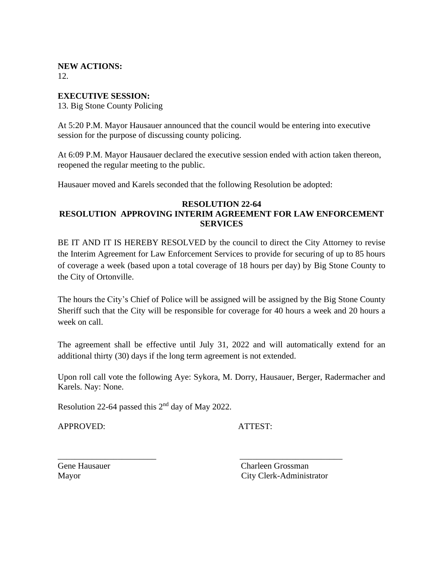# **NEW ACTIONS:**

12.

# **EXECUTIVE SESSION:**

13. Big Stone County Policing

At 5:20 P.M. Mayor Hausauer announced that the council would be entering into executive session for the purpose of discussing county policing.

At 6:09 P.M. Mayor Hausauer declared the executive session ended with action taken thereon, reopened the regular meeting to the public.

Hausauer moved and Karels seconded that the following Resolution be adopted:

# **RESOLUTION 22-64 RESOLUTION APPROVING INTERIM AGREEMENT FOR LAW ENFORCEMENT SERVICES**

BE IT AND IT IS HEREBY RESOLVED by the council to direct the City Attorney to revise the Interim Agreement for Law Enforcement Services to provide for securing of up to 85 hours of coverage a week (based upon a total coverage of 18 hours per day) by Big Stone County to the City of Ortonville.

The hours the City's Chief of Police will be assigned will be assigned by the Big Stone County Sheriff such that the City will be responsible for coverage for 40 hours a week and 20 hours a week on call.

The agreement shall be effective until July 31, 2022 and will automatically extend for an additional thirty (30) days if the long term agreement is not extended.

Upon roll call vote the following Aye: Sykora, M. Dorry, Hausauer, Berger, Radermacher and Karels. Nay: None.

\_\_\_\_\_\_\_\_\_\_\_\_\_\_\_\_\_\_\_\_\_\_\_ \_\_\_\_\_\_\_\_\_\_\_\_\_\_\_\_\_\_\_\_\_\_\_\_

Resolution 22-64 passed this  $2<sup>nd</sup>$  day of May 2022.

APPROVED: ATTEST:

Gene Hausauer Charleen Grossman Mayor City Clerk-Administrator